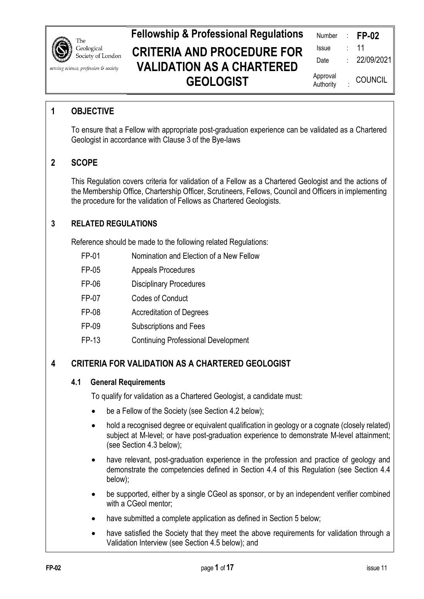

serving science, profession & society

# **Fellowship & Professional Regulations CRITERIA AND PROCEDURE FOR VALIDATION AS A CHARTERED GEOLOGIST**

| Number                | <b>FP-02</b>   |
|-----------------------|----------------|
| Issue                 | 11             |
| Date                  | 22/09/2021     |
| Approval<br>Authority | <b>COUNCIL</b> |

# **1 OBJECTIVE**

To ensure that a Fellow with appropriate post-graduation experience can be validated as a Chartered Geologist in accordance with Clause 3 of the Bye-laws

# **2 SCOPE**

This Regulation covers criteria for validation of a Fellow as a Chartered Geologist and the actions of the Membership Office, Chartership Officer, Scrutineers, Fellows, Council and Officers in implementing the procedure for the validation of Fellows as Chartered Geologists.

# **3 RELATED REGULATIONS**

Reference should be made to the following related Regulations:

- FP-01 Nomination and Election of a New Fellow
- FP-05 Appeals Procedures
- FP-06 Disciplinary Procedures
- FP-07 Codes of Conduct
- FP-08 Accreditation of Degrees
- FP-09 Subscriptions and Fees
- FP-13 Continuing Professional Development

# **4 CRITERIA FOR VALIDATION AS A CHARTERED GEOLOGIST**

#### **4.1 General Requirements**

To qualify for validation as a Chartered Geologist, a candidate must:

- be a Fellow of the Society (see Section 4.2 below);
- hold a recognised degree or equivalent qualification in geology or a cognate (closely related) subject at M-level; or have post-graduation experience to demonstrate M-level attainment; (see Section 4.3 below);
- have relevant, post-graduation experience in the profession and practice of geology and demonstrate the competencies defined in Section 4.4 of this Regulation (see Section 4.4 below);
- be supported, either by a single CGeol as sponsor, or by an independent verifier combined with a CGeol mentor;
- have submitted a complete application as defined in Section 5 below:
- have satisfied the Society that they meet the above requirements for validation through a Validation Interview (see Section 4.5 below); and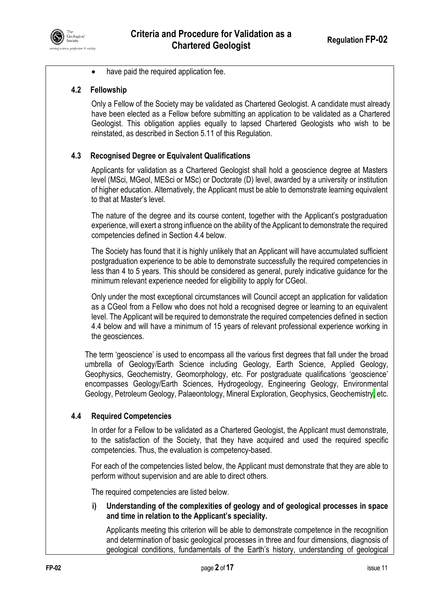

have paid the required application fee.

#### **4.2 Fellowship**

Only a Fellow of the Society may be validated as Chartered Geologist. A candidate must already have been elected as a Fellow before submitting an application to be validated as a Chartered Geologist. This obligation applies equally to lapsed Chartered Geologists who wish to be reinstated, as described in Section 5.11 of this Regulation.

#### **4.3 Recognised Degree or Equivalent Qualifications**

Applicants for validation as a Chartered Geologist shall hold a geoscience degree at Masters level (MSci, MGeol, MESci or MSc) or Doctorate (D) level, awarded by a university or institution of higher education. Alternatively, the Applicant must be able to demonstrate learning equivalent to that at Master's level.

The nature of the degree and its course content, together with the Applicant's postgraduation experience, will exert a strong influence on the ability of the Applicant to demonstrate the required competencies defined in Section 4.4 below.

The Society has found that it is highly unlikely that an Applicant will have accumulated sufficient postgraduation experience to be able to demonstrate successfully the required competencies in less than 4 to 5 years. This should be considered as general, purely indicative guidance for the minimum relevant experience needed for eligibility to apply for CGeol.

Only under the most exceptional circumstances will Council accept an application for validation as a CGeol from a Fellow who does not hold a recognised degree or learning to an equivalent level. The Applicant will be required to demonstrate the required competencies defined in section 4.4 below and will have a minimum of 15 years of relevant professional experience working in the geosciences.

The term 'geoscience' is used to encompass all the various first degrees that fall under the broad umbrella of Geology/Earth Science including Geology, Earth Science, Applied Geology, Geophysics, Geochemistry, Geomorphology, etc. For postgraduate qualifications 'geoscience' encompasses Geology/Earth Sciences, Hydrogeology, Engineering Geology, Environmental Geology, Petroleum Geology, Palaeontology, Mineral Exploration, Geophysics, Geochemistry, etc.

#### **4.4 Required Competencies**

In order for a Fellow to be validated as a Chartered Geologist, the Applicant must demonstrate, to the satisfaction of the Society, that they have acquired and used the required specific competencies. Thus, the evaluation is competency-based.

For each of the competencies listed below, the Applicant must demonstrate that they are able to perform without supervision and are able to direct others.

The required competencies are listed below.

**i) Understanding of the complexities of geology and of geological processes in space and time in relation to the Applicant's speciality.** 

Applicants meeting this criterion will be able to demonstrate competence in the recognition and determination of basic geological processes in three and four dimensions, diagnosis of geological conditions, fundamentals of the Earth's history, understanding of geological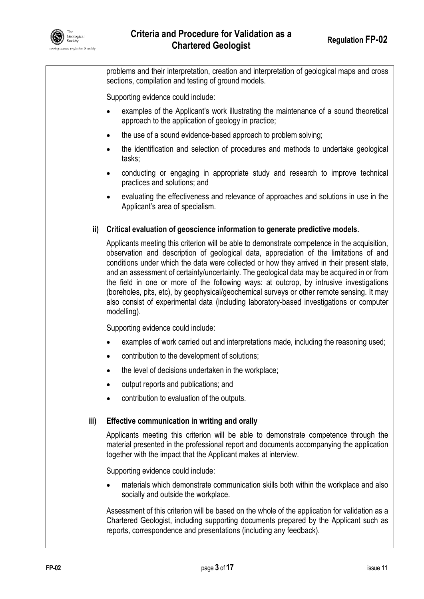

problems and their interpretation, creation and interpretation of geological maps and cross sections, compilation and testing of ground models.

Supporting evidence could include:

- examples of the Applicant's work illustrating the maintenance of a sound theoretical approach to the application of geology in practice;
- the use of a sound evidence-based approach to problem solving;
- the identification and selection of procedures and methods to undertake geological tasks;
- conducting or engaging in appropriate study and research to improve technical practices and solutions; and
- evaluating the effectiveness and relevance of approaches and solutions in use in the Applicant's area of specialism.

#### **ii) Critical evaluation of geoscience information to generate predictive models.**

Applicants meeting this criterion will be able to demonstrate competence in the acquisition, observation and description of geological data, appreciation of the limitations of and conditions under which the data were collected or how they arrived in their present state, and an assessment of certainty/uncertainty. The geological data may be acquired in or from the field in one or more of the following ways: at outcrop, by intrusive investigations (boreholes, pits, etc), by geophysical/geochemical surveys or other remote sensing. It may also consist of experimental data (including laboratory-based investigations or computer modelling).

Supporting evidence could include:

- examples of work carried out and interpretations made, including the reasoning used;
- contribution to the development of solutions;
- the level of decisions undertaken in the workplace:
- output reports and publications; and
- contribution to evaluation of the outputs.

#### **iii) Effective communication in writing and orally**

Applicants meeting this criterion will be able to demonstrate competence through the material presented in the professional report and documents accompanying the application together with the impact that the Applicant makes at interview.

Supporting evidence could include:

 materials which demonstrate communication skills both within the workplace and also socially and outside the workplace.

Assessment of this criterion will be based on the whole of the application for validation as a Chartered Geologist, including supporting documents prepared by the Applicant such as reports, correspondence and presentations (including any feedback).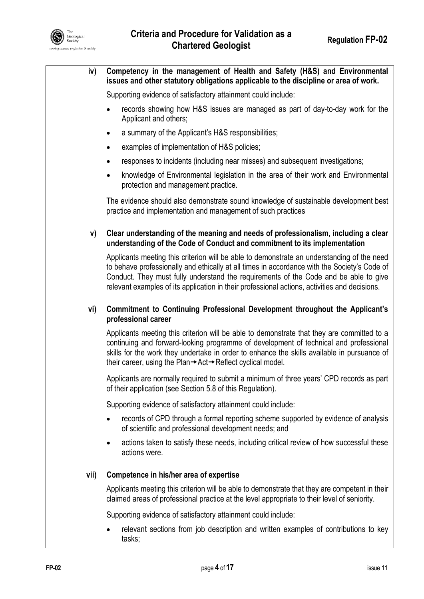

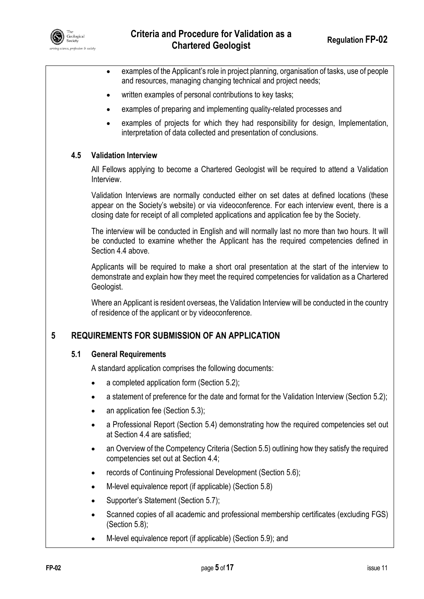

- examples of the Applicant's role in project planning, organisation of tasks, use of people and resources, managing changing technical and project needs; written examples of personal contributions to key tasks; examples of preparing and implementing quality-related processes and examples of projects for which they had responsibility for design, Implementation, interpretation of data collected and presentation of conclusions. **4.5 Validation Interview**  All Fellows applying to become a Chartered Geologist will be required to attend a Validation Interview. Validation Interviews are normally conducted either on set dates at defined locations (these appear on the Society's website) or via videoconference. For each interview event, there is a closing date for receipt of all completed applications and application fee by the Society. The interview will be conducted in English and will normally last no more than two hours. It will be conducted to examine whether the Applicant has the required competencies defined in Section 4.4 above. Applicants will be required to make a short oral presentation at the start of the interview to demonstrate and explain how they meet the required competencies for validation as a Chartered Geologist. Where an Applicant is resident overseas, the Validation Interview will be conducted in the country of residence of the applicant or by videoconference. **5 REQUIREMENTS FOR SUBMISSION OF AN APPLICATION 5.1 General Requirements**  A standard application comprises the following documents: a completed application form (Section 5.2); • a statement of preference for the date and format for the Validation Interview (Section 5.2); • an application fee (Section 5.3); a Professional Report (Section 5.4) demonstrating how the required competencies set out at Section 4.4 are satisfied; an Overview of the Competency Criteria (Section 5.5) outlining how they satisfy the required competencies set out at Section 4.4; records of Continuing Professional Development (Section 5.6); M-level equivalence report (if applicable) (Section 5.8)
	- Supporter's Statement (Section 5.7);
	- Scanned copies of all academic and professional membership certificates (excluding FGS) (Section 5.8);
	- M-level equivalence report (if applicable) (Section 5.9); and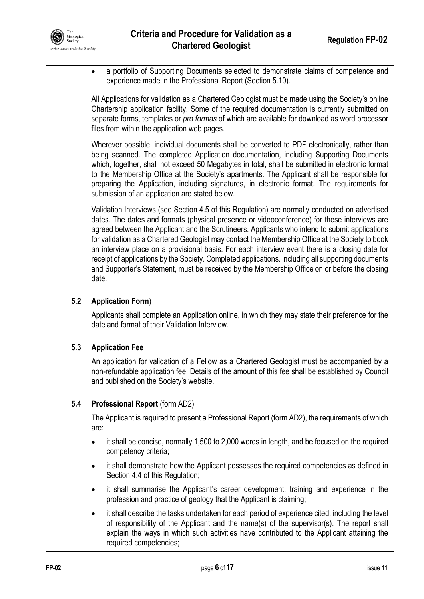

 a portfolio of Supporting Documents selected to demonstrate claims of competence and experience made in the Professional Report (Section 5.10).

All Applications for validation as a Chartered Geologist must be made using the Society's online Chartership application facility. Some of the required documentation is currently submitted on separate forms, templates or *pro formas* of which are available for download as word processor files from within the application web pages.

Wherever possible, individual documents shall be converted to PDF electronically, rather than being scanned. The completed Application documentation, including Supporting Documents which, together, shall not exceed 50 Megabytes in total, shall be submitted in electronic format to the Membership Office at the Society's apartments. The Applicant shall be responsible for preparing the Application, including signatures, in electronic format. The requirements for submission of an application are stated below.

Validation Interviews (see Section 4.5 of this Regulation) are normally conducted on advertised dates. The dates and formats (physical presence or videoconference) for these interviews are agreed between the Applicant and the Scrutineers. Applicants who intend to submit applications for validation as a Chartered Geologist may contact the Membership Office at the Society to book an interview place on a provisional basis. For each interview event there is a closing date for receipt of applications by the Society. Completed applications. including all supporting documents and Supporter's Statement, must be received by the Membership Office on or before the closing date.

#### **5.2 Application Form**)

Applicants shall complete an Application online, in which they may state their preference for the date and format of their Validation Interview.

## **5.3 Application Fee**

An application for validation of a Fellow as a Chartered Geologist must be accompanied by a non-refundable application fee. Details of the amount of this fee shall be established by Council and published on the Society's website.

#### **5.4 Professional Report** (form AD2)

The Applicant is required to present a Professional Report (form AD2), the requirements of which are:

- it shall be concise, normally 1,500 to 2,000 words in length, and be focused on the required competency criteria;
- it shall demonstrate how the Applicant possesses the required competencies as defined in Section 4.4 of this Regulation;
- it shall summarise the Applicant's career development, training and experience in the profession and practice of geology that the Applicant is claiming;
- it shall describe the tasks undertaken for each period of experience cited, including the level of responsibility of the Applicant and the name(s) of the supervisor(s). The report shall explain the ways in which such activities have contributed to the Applicant attaining the required competencies;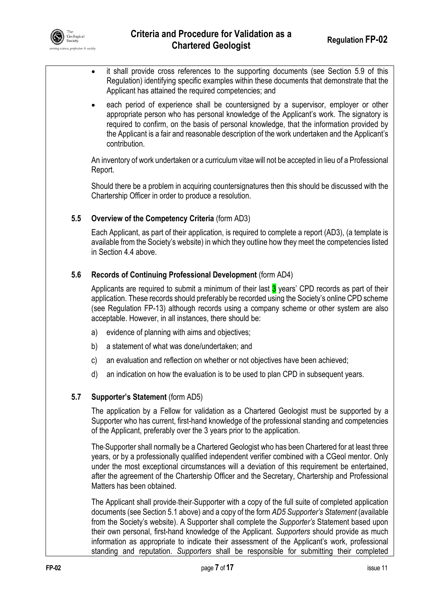

- it shall provide cross references to the supporting documents (see Section 5.9 of this Regulation) identifying specific examples within these documents that demonstrate that the Applicant has attained the required competencies; and
- each period of experience shall be countersigned by a supervisor, employer or other appropriate person who has personal knowledge of the Applicant's work. The signatory is required to confirm, on the basis of personal knowledge, that the information provided by the Applicant is a fair and reasonable description of the work undertaken and the Applicant's contribution.

An inventory of work undertaken or a curriculum vitae will not be accepted in lieu of a Professional Report.

Should there be a problem in acquiring countersignatures then this should be discussed with the Chartership Officer in order to produce a resolution.

#### **5.5 Overview of the Competency Criteria** (form AD3)

Each Applicant, as part of their application, is required to complete a report (AD3), (a template is available from the Society's website) in which they outline how they meet the competencies listed in Section 4.4 above.

#### **5.6 Records of Continuing Professional Development** (form AD4)

Applicants are required to submit a minimum of their last  $3$  years' CPD records as part of their application. These records should preferably be recorded using the Society's online CPD scheme (see Regulation FP-13) although records using a company scheme or other system are also acceptable. However, in all instances, there should be:

- a) evidence of planning with aims and objectives;
- b) a statement of what was done/undertaken; and
- c) an evaluation and reflection on whether or not objectives have been achieved;
- d) an indication on how the evaluation is to be used to plan CPD in subsequent years.

#### **5.7 Supporter's Statement** (form AD5)

The application by a Fellow for validation as a Chartered Geologist must be supported by a Supporter who has current, first-hand knowledge of the professional standing and competencies of the Applicant, preferably over the 3 years prior to the application.

The Supporter shall normally be a Chartered Geologist who has been Chartered for at least three years, or by a professionally qualified independent verifier combined with a CGeol mentor. Only under the most exceptional circumstances will a deviation of this requirement be entertained, after the agreement of the Chartership Officer and the Secretary, Chartership and Professional Matters has been obtained.

The Applicant shall provide their Supporter with a copy of the full suite of completed application documents (see Section 5.1 above) and a copy of the form *AD5 Supporter's Statement* (available from the Society's website). A Supporter shall complete the *Supporter's* Statement based upon their own personal, first-hand knowledge of the Applicant. *Supporters* should provide as much information as appropriate to indicate their assessment of the Applicant's work, professional standing and reputation. *Supporters* shall be responsible for submitting their completed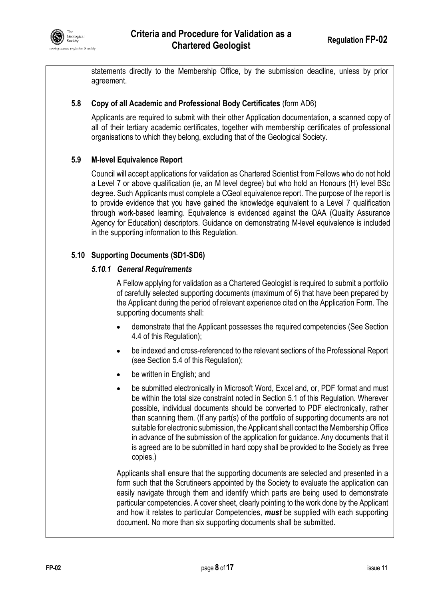

statements directly to the Membership Office, by the submission deadline, unless by prior agreement.

#### **5.8 Copy of all Academic and Professional Body Certificates** (form AD6)

Applicants are required to submit with their other Application documentation, a scanned copy of all of their tertiary academic certificates, together with membership certificates of professional organisations to which they belong, excluding that of the Geological Society.

#### **5.9 M-level Equivalence Report**

Council will accept applications for validation as Chartered Scientist from Fellows who do not hold a Level 7 or above qualification (ie, an M level degree) but who hold an Honours (H) level BSc degree. Such Applicants must complete a CGeol equivalence report. The purpose of the report is to provide evidence that you have gained the knowledge equivalent to a Level 7 qualification through work-based learning. Equivalence is evidenced against the QAA (Quality Assurance Agency for Education) descriptors. Guidance on demonstrating M-level equivalence is included in the supporting information to this Regulation.

#### **5.10 Supporting Documents (SD1-SD6)**

#### *5.10.1 General Requirements*

A Fellow applying for validation as a Chartered Geologist is required to submit a portfolio of carefully selected supporting documents (maximum of 6) that have been prepared by the Applicant during the period of relevant experience cited on the Application Form. The supporting documents shall:

- demonstrate that the Applicant possesses the required competencies (See Section 4.4 of this Regulation);
- be indexed and cross-referenced to the relevant sections of the Professional Report (see Section 5.4 of this Regulation);
- be written in English; and
- be submitted electronically in Microsoft Word, Excel and, or, PDF format and must be within the total size constraint noted in Section 5.1 of this Regulation. Wherever possible, individual documents should be converted to PDF electronically, rather than scanning them. (If any part(s) of the portfolio of supporting documents are not suitable for electronic submission, the Applicant shall contact the Membership Office in advance of the submission of the application for guidance. Any documents that it is agreed are to be submitted in hard copy shall be provided to the Society as three copies.)

Applicants shall ensure that the supporting documents are selected and presented in a form such that the Scrutineers appointed by the Society to evaluate the application can easily navigate through them and identify which parts are being used to demonstrate particular competencies. A cover sheet, clearly pointing to the work done by the Applicant and how it relates to particular Competencies, *must* be supplied with each supporting document. No more than six supporting documents shall be submitted.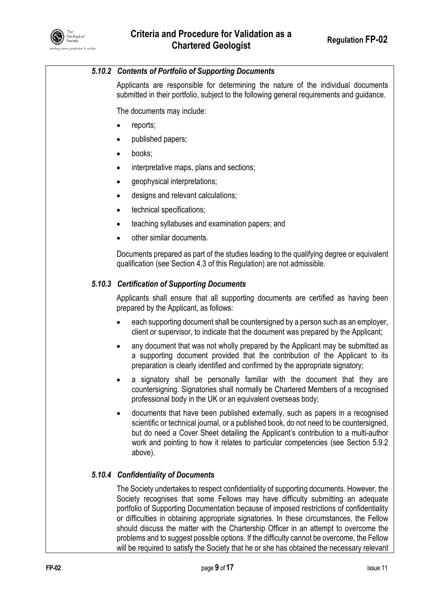

#### *5.10.2 Contents of Portfolio of Supporting Documents*

Applicants are responsible for determining the nature of the individual documents submitted in their portfolio, subject to the following general requirements and guidance.

The documents may include:

- reports;
- published papers;
- books;
- interpretative maps, plans and sections;
- geophysical interpretations;
- designs and relevant calculations;
- technical specifications;
- teaching syllabuses and examination papers; and
- other similar documents.

Documents prepared as part of the studies leading to the qualifying degree or equivalent qualification (see Section 4.3 of this Regulation) are not admissible.

#### *5.10.3 Certification of Supporting Documents*

Applicants shall ensure that all supporting documents are certified as having been prepared by the Applicant, as follows:

- each supporting document shall be countersigned by a person such as an employer, client or supervisor, to indicate that the document was prepared by the Applicant;
- any document that was not wholly prepared by the Applicant may be submitted as a supporting document provided that the contribution of the Applicant to its preparation is clearly identified and confirmed by the appropriate signatory;
- a signatory shall be personally familiar with the document that they are countersigning. Signatories shall normally be Chartered Members of a recognised professional body in the UK or an equivalent overseas body;
- documents that have been published externally, such as papers in a recognised scientific or technical journal, or a published book, do not need to be countersigned, but do need a Cover Sheet detailing the Applicant's contribution to a multi-author work and pointing to how it relates to particular competencies (see Section 5.9.2 above).

#### *5.10.4 Confidentiality of Documents*

The Society undertakes to respect confidentiality of supporting documents. However, the Society recognises that some Fellows may have difficulty submitting an adequate portfolio of Supporting Documentation because of imposed restrictions of confidentiality or difficulties in obtaining appropriate signatories. In these circumstances, the Fellow should discuss the matter with the Chartership Officer in an attempt to overcome the problems and to suggest possible options. If the difficulty cannot be overcome, the Fellow will be required to satisfy the Society that he or she has obtained the necessary relevant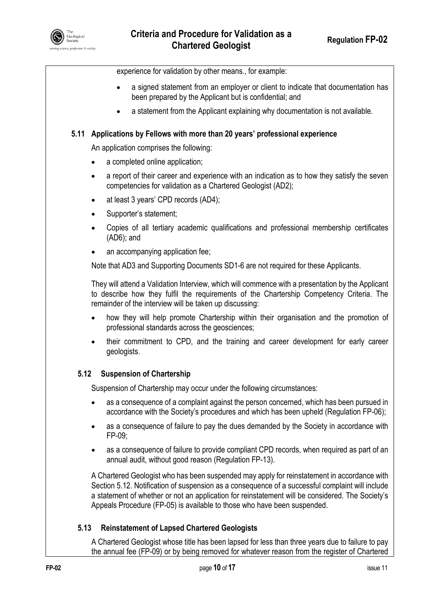experience for validation by other means., for example:

- a signed statement from an employer or client to indicate that documentation has been prepared by the Applicant but is confidential; and
- a statement from the Applicant explaining why documentation is not available.

#### **5.11 Applications by Fellows with more than 20 years' professional experience**

An application comprises the following:

- a completed online application;
- a report of their career and experience with an indication as to how they satisfy the seven competencies for validation as a Chartered Geologist (AD2);
- at least 3 years' CPD records (AD4);
- Supporter's statement;
- Copies of all tertiary academic qualifications and professional membership certificates (AD6); and
- an accompanying application fee;

Note that AD3 and Supporting Documents SD1-6 are not required for these Applicants.

They will attend a Validation Interview, which will commence with a presentation by the Applicant to describe how they fulfil the requirements of the Chartership Competency Criteria. The remainder of the interview will be taken up discussing:

- how they will help promote Chartership within their organisation and the promotion of professional standards across the geosciences;
- their commitment to CPD, and the training and career development for early career geologists.

#### **5.12 Suspension of Chartership**

Suspension of Chartership may occur under the following circumstances:

- as a consequence of a complaint against the person concerned, which has been pursued in accordance with the Society's procedures and which has been upheld (Regulation FP-06);
- as a consequence of failure to pay the dues demanded by the Society in accordance with FP-09;
- as a consequence of failure to provide compliant CPD records, when required as part of an annual audit, without good reason (Regulation FP-13).

A Chartered Geologist who has been suspended may apply for reinstatement in accordance with Section 5.12. Notification of suspension as a consequence of a successful complaint will include a statement of whether or not an application for reinstatement will be considered. The Society's Appeals Procedure (FP-05) is available to those who have been suspended.

#### **5.13 Reinstatement of Lapsed Chartered Geologists**

A Chartered Geologist whose title has been lapsed for less than three years due to failure to pay the annual fee (FP-09) or by being removed for whatever reason from the register of Chartered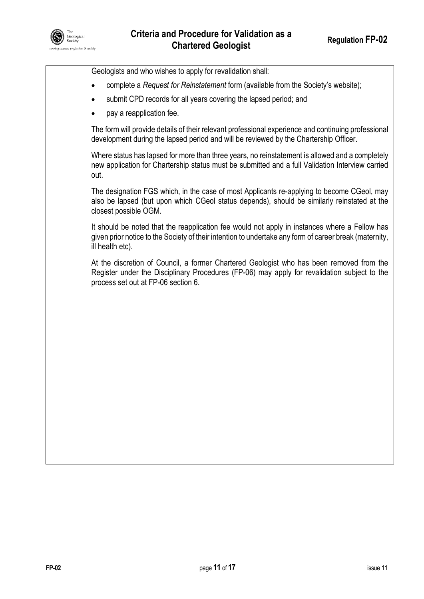

Geologists and who wishes to apply for revalidation shall:

- complete a *Request for Reinstatement* form (available from the Society's website);
- submit CPD records for all years covering the lapsed period; and
- pay a reapplication fee.

The form will provide details of their relevant professional experience and continuing professional development during the lapsed period and will be reviewed by the Chartership Officer.

Where status has lapsed for more than three years, no reinstatement is allowed and a completely new application for Chartership status must be submitted and a full Validation Interview carried out.

The designation FGS which, in the case of most Applicants re-applying to become CGeol, may also be lapsed (but upon which CGeol status depends), should be similarly reinstated at the closest possible OGM.

It should be noted that the reapplication fee would not apply in instances where a Fellow has given prior notice to the Society of their intention to undertake any form of career break (maternity, ill health etc).

At the discretion of Council, a former Chartered Geologist who has been removed from the Register under the Disciplinary Procedures (FP-06) may apply for revalidation subject to the process set out at FP-06 section 6.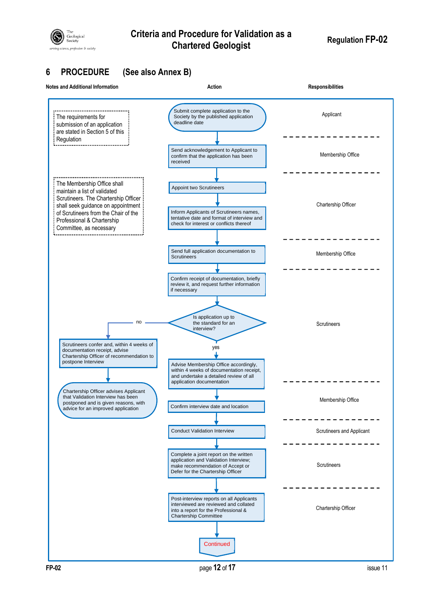

# **Criteria and Procedure for Validation as a Chartered Geologist Regulation FP-02**

# **6 PROCEDURE (See also Annex B)**

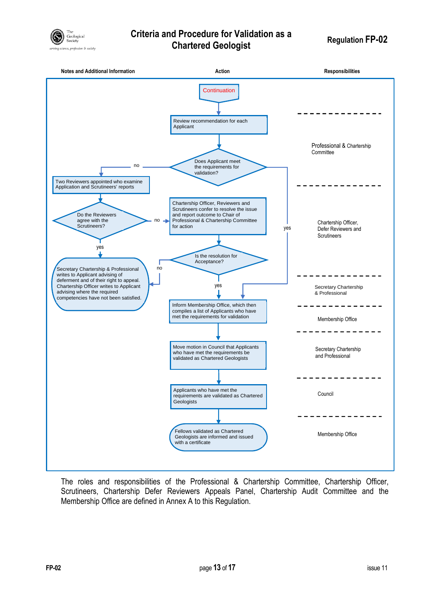

# **Criteria and Procedure for Validation as a Chartered Geologist Regulation FP-02**



The roles and responsibilities of the Professional & Chartership Committee, Chartership Officer, Scrutineers, Chartership Defer Reviewers Appeals Panel, Chartership Audit Committee and the Membership Office are defined in Annex A to this Regulation.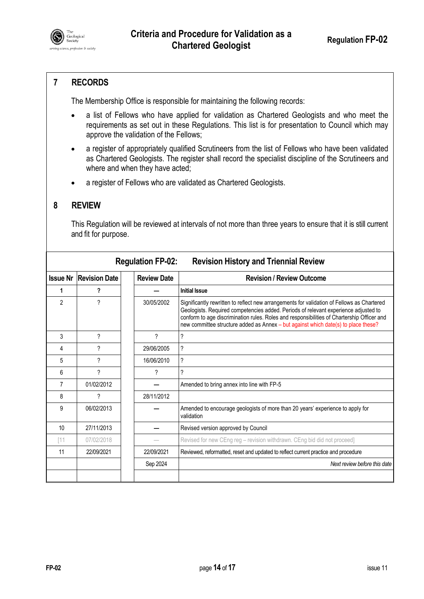

## **7 RECORDS**

The Membership Office is responsible for maintaining the following records:

- a list of Fellows who have applied for validation as Chartered Geologists and who meet the requirements as set out in these Regulations. This list is for presentation to Council which may approve the validation of the Fellows;
- a register of appropriately qualified Scrutineers from the list of Fellows who have been validated as Chartered Geologists. The register shall record the specialist discipline of the Scrutineers and where and when they have acted;
- a register of Fellows who are validated as Chartered Geologists.

#### **8 REVIEW**

This Regulation will be reviewed at intervals of not more than three years to ensure that it is still current and fit for purpose.

| <b>Regulation FP-02:</b><br><b>Revision History and Triennial Review</b> |                                 |                    |                                                                                                                                                                                                                                                                                                                                                                       |  |
|--------------------------------------------------------------------------|---------------------------------|--------------------|-----------------------------------------------------------------------------------------------------------------------------------------------------------------------------------------------------------------------------------------------------------------------------------------------------------------------------------------------------------------------|--|
|                                                                          | <b>Issue Nr   Revision Date</b> | <b>Review Date</b> | <b>Revision / Review Outcome</b>                                                                                                                                                                                                                                                                                                                                      |  |
| 1                                                                        | ?                               |                    | <b>Initial Issue</b>                                                                                                                                                                                                                                                                                                                                                  |  |
| $\overline{2}$                                                           | ?                               | 30/05/2002         | Significantly rewritten to reflect new arrangements for validation of Fellows as Chartered<br>Geologists. Required competencies added. Periods of relevant experience adjusted to<br>conform to age discrimination rules. Roles and responsibilities of Chartership Officer and<br>new committee structure added as Annex - but against which date(s) to place these? |  |
| 3                                                                        | ?                               | ?                  | ?                                                                                                                                                                                                                                                                                                                                                                     |  |
| $\overline{4}$                                                           | ?                               | 29/06/2005         | ?                                                                                                                                                                                                                                                                                                                                                                     |  |
| 5                                                                        | ?                               | 16/06/2010         | ?                                                                                                                                                                                                                                                                                                                                                                     |  |
| 6                                                                        | ?                               | ?                  | ?                                                                                                                                                                                                                                                                                                                                                                     |  |
| 7                                                                        | 01/02/2012                      |                    | Amended to bring annex into line with FP-5                                                                                                                                                                                                                                                                                                                            |  |
| 8                                                                        | ?                               | 28/11/2012         |                                                                                                                                                                                                                                                                                                                                                                       |  |
| 9                                                                        | 06/02/2013                      |                    | Amended to encourage geologists of more than 20 years' experience to apply for<br>validation                                                                                                                                                                                                                                                                          |  |
| 10                                                                       | 27/11/2013                      |                    | Revised version approved by Council                                                                                                                                                                                                                                                                                                                                   |  |
| [11]                                                                     | 07/02/2018                      |                    | Revised for new CEng reg - revision withdrawn. CEng bid did not proceed]                                                                                                                                                                                                                                                                                              |  |
| 11                                                                       | 22/09/2021                      | 22/09/2021         | Reviewed, reformatted, reset and updated to reflect current practice and procedure                                                                                                                                                                                                                                                                                    |  |
|                                                                          |                                 | Sep 2024           | Next review before this date                                                                                                                                                                                                                                                                                                                                          |  |
|                                                                          |                                 |                    |                                                                                                                                                                                                                                                                                                                                                                       |  |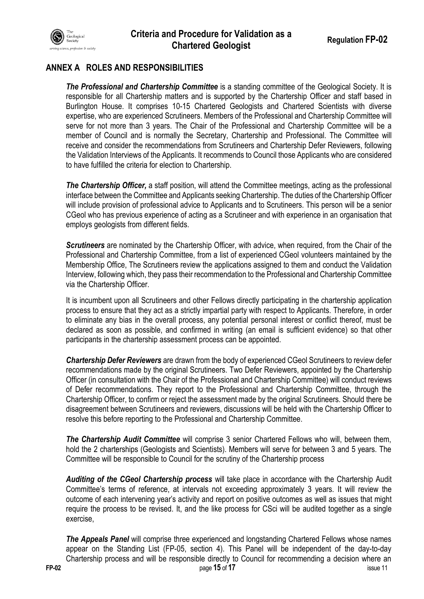

# **ANNEX A ROLES AND RESPONSIBILITIES**

*The Professional and Chartership Committee* is a standing committee of the Geological Society. It is responsible for all Chartership matters and is supported by the Chartership Officer and staff based in Burlington House. It comprises 10-15 Chartered Geologists and Chartered Scientists with diverse expertise, who are experienced Scrutineers. Members of the Professional and Chartership Committee will serve for not more than 3 years. The Chair of the Professional and Chartership Committee will be a member of Council and is normally the Secretary, Chartership and Professional. The Committee will receive and consider the recommendations from Scrutineers and Chartership Defer Reviewers, following the Validation Interviews of the Applicants. It recommends to Council those Applicants who are considered to have fulfilled the criteria for election to Chartership.

*The Chartership Officer,* a staff position, will attend the Committee meetings, acting as the professional interface between the Committee and Applicants seeking Chartership. The duties of the Chartership Officer will include provision of professional advice to Applicants and to Scrutineers. This person will be a senior CGeol who has previous experience of acting as a Scrutineer and with experience in an organisation that employs geologists from different fields.

*Scrutineers* are nominated by the Chartership Officer, with advice, when required, from the Chair of the Professional and Chartership Committee, from a list of experienced CGeol volunteers maintained by the Membership Office, The Scrutineers review the applications assigned to them and conduct the Validation Interview, following which, they pass their recommendation to the Professional and Chartership Committee via the Chartership Officer.

It is incumbent upon all Scrutineers and other Fellows directly participating in the chartership application process to ensure that they act as a strictly impartial party with respect to Applicants. Therefore, in order to eliminate any bias in the overall process, any potential personal interest or conflict thereof, must be declared as soon as possible, and confirmed in writing (an email is sufficient evidence) so that other participants in the chartership assessment process can be appointed.

*Chartership Defer Reviewers* are drawn from the body of experienced CGeol Scrutineers to review defer recommendations made by the original Scrutineers. Two Defer Reviewers, appointed by the Chartership Officer (in consultation with the Chair of the Professional and Chartership Committee) will conduct reviews of Defer recommendations. They report to the Professional and Chartership Committee, through the Chartership Officer, to confirm or reject the assessment made by the original Scrutineers. Should there be disagreement between Scrutineers and reviewers, discussions will be held with the Chartership Officer to resolve this before reporting to the Professional and Chartership Committee.

*The Chartership Audit Committee* will comprise 3 senior Chartered Fellows who will, between them, hold the 2 charterships (Geologists and Scientists). Members will serve for between 3 and 5 years. The Committee will be responsible to Council for the scrutiny of the Chartership process

*Auditing of the CGeol Chartership process* will take place in accordance with the Chartership Audit Committee's terms of reference, at intervals not exceeding approximately 3 years. It will review the outcome of each intervening year's activity and report on positive outcomes as well as issues that might require the process to be revised. It, and the like process for CSci will be audited together as a single exercise,

*The Appeals Panel* will comprise three experienced and longstanding Chartered Fellows whose names appear on the Standing List (FP-05, section 4). This Panel will be independent of the day-to-day Chartership process and will be responsible directly to Council for recommending a decision where an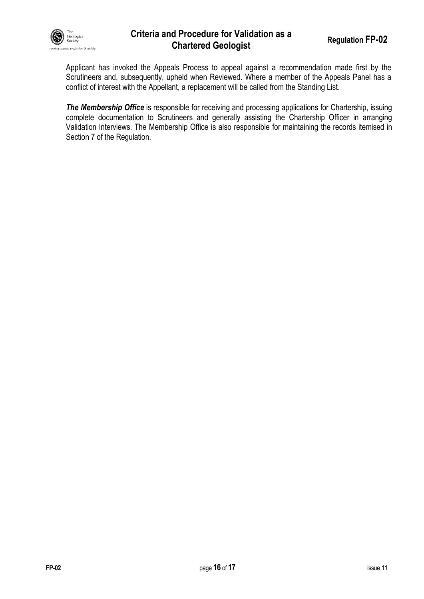

## **Criteria and Procedure for Validation as a Chartered Geologist Regulation FP-02**

Applicant has invoked the Appeals Process to appeal against a recommendation made first by the Scrutineers and, subsequently, upheld when Reviewed. Where a member of the Appeals Panel has a conflict of interest with the Appellant, a replacement will be called from the Standing List.

*The Membership Office* is responsible for receiving and processing applications for Chartership, issuing complete documentation to Scrutineers and generally assisting the Chartership Officer in arranging Validation Interviews. The Membership Office is also responsible for maintaining the records itemised in Section 7 of the Regulation.